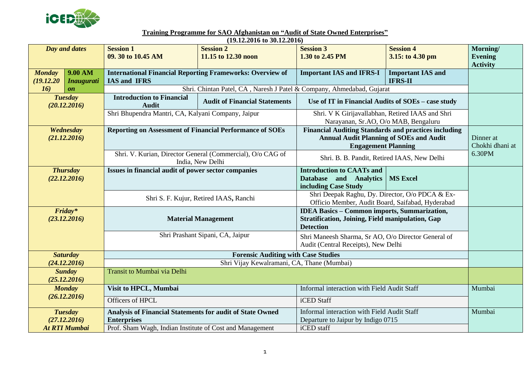

**Training Programme for SAO Afghanistan on "Audit of State Owned Enterprises"**

| $(19.12.2016 \text{ to } 30.12.2016)$ |                   |                                                                  |                                                                       |                                                             |                                                    |                 |  |  |  |  |
|---------------------------------------|-------------------|------------------------------------------------------------------|-----------------------------------------------------------------------|-------------------------------------------------------------|----------------------------------------------------|-----------------|--|--|--|--|
| Day and dates                         |                   | <b>Session 1</b>                                                 | <b>Session 2</b>                                                      | <b>Session 3</b>                                            | <b>Session 4</b>                                   | Morning/        |  |  |  |  |
|                                       |                   | 09. 30 to 10.45 AM                                               | 11.15 to 12.30 noon                                                   | 1.30 to 2.45 PM                                             | 3.15: to 4.30 pm                                   | <b>Evening</b>  |  |  |  |  |
|                                       |                   |                                                                  |                                                                       |                                                             |                                                    | <b>Activity</b> |  |  |  |  |
| 9.00 AM<br><b>Monday</b>              |                   | <b>International Financial Reporting Frameworks: Overview of</b> |                                                                       | <b>Important IAS and IFRS-I</b>                             | <b>Important IAS and</b>                           |                 |  |  |  |  |
| (19.12.20)                            | <b>Inaugurati</b> | <b>IAS and IFRS</b>                                              |                                                                       |                                                             | <b>IFRS-II</b>                                     |                 |  |  |  |  |
| 16)                                   | $\mathbf{0}n$     |                                                                  | Shri. Chintan Patel, CA, Naresh J Patel & Company, Ahmedabad, Gujarat |                                                             |                                                    |                 |  |  |  |  |
| <b>Tuesday</b>                        |                   | <b>Introduction to Financial</b>                                 |                                                                       |                                                             |                                                    |                 |  |  |  |  |
| (20.12.2016)                          |                   | <b>Audit</b>                                                     | <b>Audit of Financial Statements</b>                                  |                                                             | Use of IT in Financial Audits of SOEs - case study |                 |  |  |  |  |
|                                       |                   | Shri Bhupendra Mantri, CA, Kalyani Company, Jaipur               |                                                                       | Shri. V K Girijavallabhan, Retired IAAS and Shri            |                                                    |                 |  |  |  |  |
|                                       |                   |                                                                  |                                                                       | Narayanan, Sr.AO, O/o MAB, Bengaluru                        |                                                    |                 |  |  |  |  |
| Wednesday                             |                   | <b>Reporting on Assessment of Financial Performance of SOEs</b>  |                                                                       | <b>Financial Auditing Standards and practices including</b> |                                                    |                 |  |  |  |  |
| (21.12.2016)                          |                   |                                                                  |                                                                       | <b>Annual Audit Planning of SOEs and Audit</b>              |                                                    | Dinner at       |  |  |  |  |
|                                       |                   |                                                                  |                                                                       | <b>Engagement Planning</b>                                  |                                                    | Chokhi dhani at |  |  |  |  |
|                                       |                   | Shri. V. Kurian, Director General (Commercial), O/o CAG of       |                                                                       |                                                             |                                                    | 6.30PM          |  |  |  |  |
|                                       |                   | India, New Delhi                                                 |                                                                       | Shri. B. B. Pandit, Retired IAAS, New Delhi                 |                                                    |                 |  |  |  |  |
| <b>Thursday</b>                       |                   | Issues in financial audit of power sector companies              |                                                                       | <b>Introduction to CAATs and</b>                            |                                                    |                 |  |  |  |  |
| (22.12.2016)                          |                   |                                                                  |                                                                       | Database and Analytics                                      | <b>MS Excel</b>                                    |                 |  |  |  |  |
|                                       |                   |                                                                  |                                                                       | including Case Study                                        |                                                    |                 |  |  |  |  |
|                                       |                   | Shri S. F. Kujur, Retired IAAS, Ranchi                           |                                                                       | Shri Deepak Raghu, Dy. Director, O/o PDCA & Ex-             |                                                    |                 |  |  |  |  |
|                                       |                   |                                                                  |                                                                       | Officio Member, Audit Board, Saifabad, Hyderabad            |                                                    |                 |  |  |  |  |
| Friday*                               |                   |                                                                  |                                                                       | <b>IDEA Basics - Common imports, Summarization,</b>         |                                                    |                 |  |  |  |  |
| (23.12.2016)                          |                   | <b>Material Management</b>                                       |                                                                       | <b>Stratification, Joining, Field manipulation, Gap</b>     |                                                    |                 |  |  |  |  |
|                                       |                   |                                                                  |                                                                       | <b>Detection</b>                                            |                                                    |                 |  |  |  |  |
|                                       |                   | Shri Prashant Sipani, CA, Jaipur                                 |                                                                       | Shri Maneesh Sharma, Sr AO, O/o Director General of         |                                                    |                 |  |  |  |  |
|                                       |                   |                                                                  |                                                                       | Audit (Central Receipts), New Delhi                         |                                                    |                 |  |  |  |  |
| <b>Saturday</b>                       |                   | <b>Forensic Auditing with Case Studies</b>                       |                                                                       |                                                             |                                                    |                 |  |  |  |  |
| (24.12.2016)                          |                   | Shri Vijay Kewalramani, CA, Thane (Mumbai)                       |                                                                       |                                                             |                                                    |                 |  |  |  |  |
|                                       | <b>Sunday</b>     | Transit to Mumbai via Delhi                                      |                                                                       |                                                             |                                                    |                 |  |  |  |  |
|                                       | (25.12.2016)      |                                                                  |                                                                       |                                                             |                                                    |                 |  |  |  |  |
| <b>Monday</b>                         |                   | Visit to HPCL, Mumbai                                            |                                                                       | Informal interaction with Field Audit Staff                 |                                                    | Mumbai          |  |  |  |  |
| (26.12.2016)                          |                   |                                                                  |                                                                       |                                                             |                                                    |                 |  |  |  |  |
|                                       |                   | <b>Officers of HPCL</b>                                          |                                                                       | iCED Staff                                                  |                                                    |                 |  |  |  |  |
| <b>Tuesday</b>                        |                   | Analysis of Financial Statements for audit of State Owned        |                                                                       | Informal interaction with Field Audit Staff                 |                                                    | Mumbai          |  |  |  |  |
| (27.12.2016)                          |                   | <b>Enterprises</b>                                               |                                                                       | Departure to Jaipur by Indigo 0715                          |                                                    |                 |  |  |  |  |
| <b>At RTI Mumbai</b>                  |                   | Prof. Sham Wagh, Indian Institute of Cost and Management         |                                                                       | iCED staff                                                  |                                                    |                 |  |  |  |  |